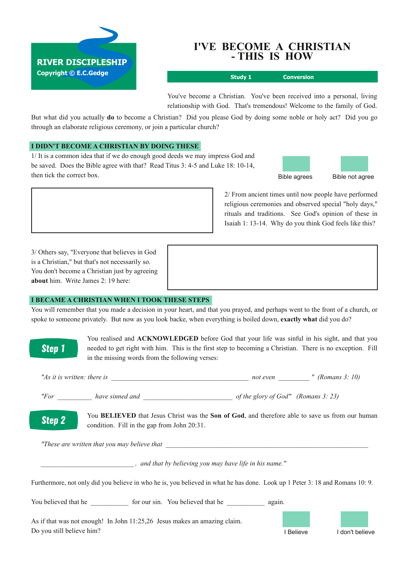

# **I'VE BECOME A CHRISTIAN THIS IS HOW**

**Study 1 Conversion**

You've become a Christian. You've been received into a personal, living relationship with God. That's tremendous! Welcome to the family of God.

But what did you actually **do** to become a Christian? Did you please God by doing some noble or holy act? Did you go through an elaborate religious ceremony, or join a particular church?

# **I DIDN'T BECOME A CHRISTIAN BY DOING THESE**

1/ It is a common idea that if we do enough good deeds we may impress God and be saved. Does the Bible agree with that? Read Titus 3: 4-5 and Luke 18: 10-14, then tick the correct box.



2/ From ancient times until now people have performed religious ceremonies and observed special "holy days," rituals and traditions. See God's opinion of these in Isaiah 1: 13-14. Why do you think God feels like this?

3/ Others say, "Everyone that believes in God is a Christian," but that's not necessarily so. You don't become a Christian just by agreeing **about** him. Write James 2: 19 here:

#### **I BECAME A CHRISTIAN WHEN I TOOK THESE STEPS**

You will remember that you made a decision in your heart, and that you prayed, and perhaps went to the front of a church, or spoke to someone privately. But now as you look backe, when everything is boiled down, **exactly what** did you do?

> You realised and **ACKNOWLEDGED** before God that your life was sinful in his sight, and that you needed to get right with him. This is the first step to becoming a Christian. There is no exception. Fill in the missing words from the following verses:

| "As it is written: there is | not even | (Romans 3: 10) |
|-----------------------------|----------|----------------|
|                             |          |                |

*"For \_\_\_\_\_\_\_\_\_\_ have sinned and \_\_\_\_\_\_\_\_\_\_\_\_\_\_\_\_\_\_\_\_\_\_\_\_\_\_ of the glory of God" (Romans 3: 23)*

You **BELIEVED** that Jesus Christ was the **Son of God**, and therefore able to save us from our human **Step 2** condition. Fill in the gap from John 20:31.

*"These are written that you may believe that \_\_\_\_\_\_\_\_\_\_\_\_\_\_\_\_\_\_\_\_\_\_\_\_\_\_\_\_\_\_\_\_\_\_\_\_\_\_\_\_\_\_\_\_\_\_\_\_\_\_\_\_\_\_\_\_\_\_\_*

*\_\_\_\_\_\_\_\_\_\_\_\_\_\_\_\_\_\_\_\_\_\_\_\_\_\_\_ , and that by believing you may have life in his name."*

Furthermore, not only did you believe in who he is, you believed in what he has done. Look up 1 Peter 3: 18 and Romans 10: 9.

You believed that he  $\frac{1}{2}$  for our sin. You believed that he  $\frac{1}{2}$  again. As if that was not enough! In John 11:25,26 Jesus makes an amazing claim.

Do you still believe him? I Believe I don't believe

**Step 1**